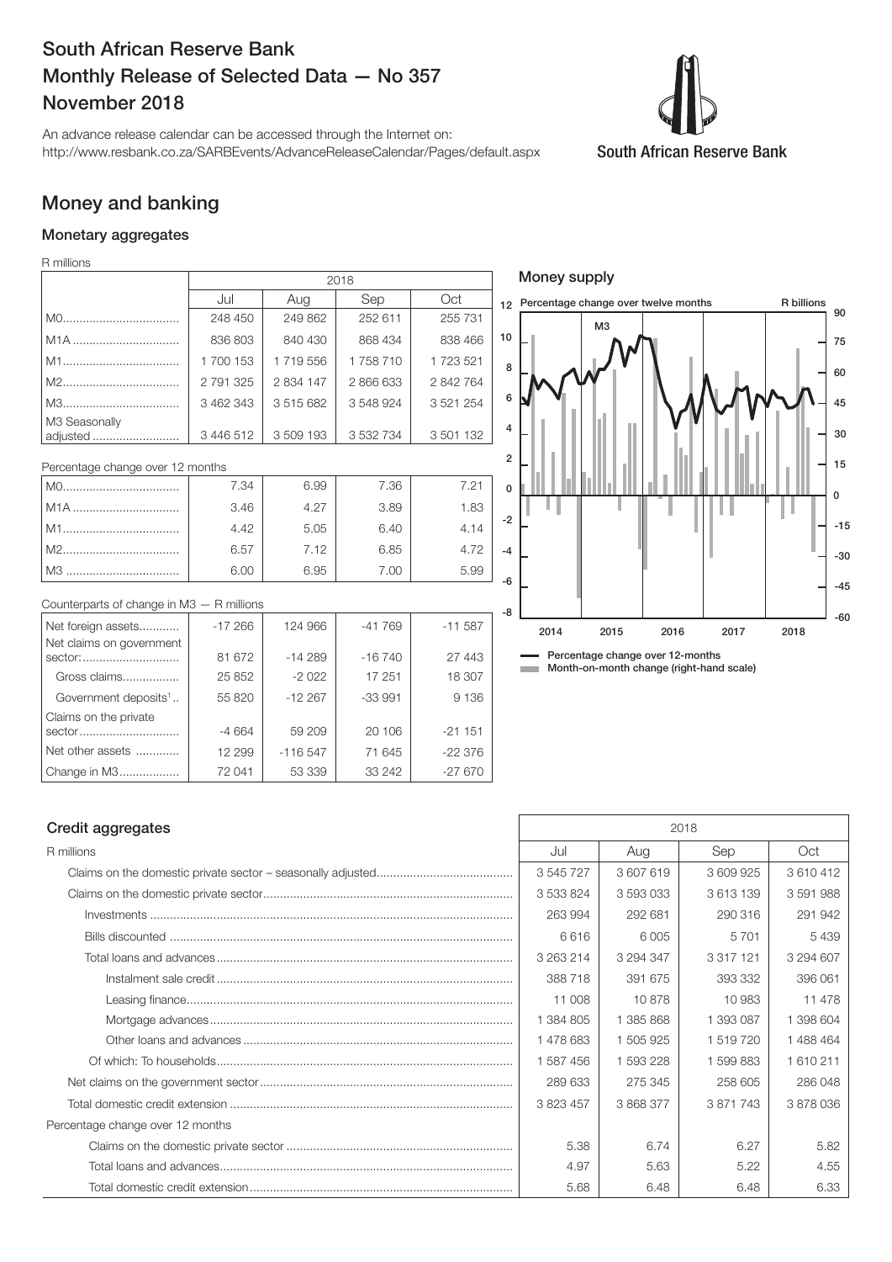## South African Reserve Bank Monthly Release of Selected Data — No 357 November 2018

An advance release calendar can be accessed through the Internet on: http://www.resbank.co.za/SARBEvents/AdvanceReleaseCalendar/Pages/default.aspx



### Money and banking

#### Monetary aggregates

R millions

|                                                | 2018      |           |           |           |                |  |
|------------------------------------------------|-----------|-----------|-----------|-----------|----------------|--|
|                                                | Jul       | Aug       | Sep       | Oct       | 12             |  |
|                                                | 248 450   | 249 862   | 252 611   | 255 731   |                |  |
| M1A                                            | 836 803   | 840 430   | 868 434   | 838 466   | 1 <sub>0</sub> |  |
|                                                | 1700153   | 1719556   | 1758710   | 1723521   | ş              |  |
|                                                | 2 791 325 | 2 834 147 | 2 866 633 | 2842764   |                |  |
|                                                | 3 462 343 | 3515682   | 3548924   | 3 521 254 | 6              |  |
| M3 Seasonally<br>adjusted                      | 3 446 512 | 3509193   | 3 532 734 | 3 501 132 | Z              |  |
| Percentage change over 12 months               |           |           |           |           |                |  |
|                                                | 7.34      | 6.99      | 7.36      | 7.21      |                |  |
| M1A                                            | 3.46      | 4.27      | 3.89      | 1.83      |                |  |
|                                                | 4.42      | 5.05      | 6.40      | 4.14      | -2             |  |
|                                                | 6.57      | 7.12      | 6.85      | 4.72      | $-4$           |  |
|                                                | 6.00      | 6.95      | 7.00      | 5.99      | -6             |  |
| Counterparts of change in M3 - R millions      |           |           |           |           |                |  |
| Net foreign assets<br>Net claims on government | $-17266$  | 124 966   | $-41769$  | $-11587$  | -8             |  |

| <u>INGLIOIGIQII assets</u>       | $-17200$ | I 24 YOO  | -41709   | - LL 567 |
|----------------------------------|----------|-----------|----------|----------|
| Net claims on government         |          |           |          |          |
| sector:                          | 81 672   | $-14289$  | $-16740$ | 27 443   |
| Gross claims                     | 25 852   | $-2022$   | 17 251   | 18 307   |
| Government deposits <sup>1</sup> | 55 820   | $-12267$  | $-33991$ | 9 1 3 6  |
| Claims on the private            |          |           |          |          |
| sector                           | $-4664$  | 59 209    | 20 106   | $-21151$ |
| Net other assets                 | 12 299   | $-116547$ | 71 645   | $-22376$ |
| Change in M3                     | 72 041   | 53 339    | 33 24 2  | $-27670$ |
|                                  |          |           |          |          |



#### Credit aggregates 2018

| R millions                       | Jul       | Aug       | Sep           | Oct       |
|----------------------------------|-----------|-----------|---------------|-----------|
|                                  | 3 545 727 | 3607619   | 3609925       | 3610412   |
|                                  | 3 533 824 | 3 593 033 | 3613139       | 3591988   |
|                                  | 263 994   | 292 681   | 290 316       | 291 942   |
|                                  | 6616      | 6 0 0 5   | 5701          | 5439      |
|                                  | 3 263 214 | 3 294 347 | 3 3 1 7 1 2 1 | 3 294 607 |
|                                  | 388718    | 391 675   | 393332        | 396 061   |
|                                  | 11 008    | 10878     | 10 983        | 11 478    |
|                                  | 1 384 805 | 1 385 868 | 1 393 087     | 1 398 604 |
|                                  | 1478683   | 1 505 925 | 1 519 720     | 1 488 464 |
|                                  | 1 587 456 | 1 593 228 | 1 599 883     | 1610211   |
|                                  | 289 633   | 275 345   | 258 605       | 286 048   |
|                                  | 3 823 457 | 3868377   | 3871743       | 3878036   |
| Percentage change over 12 months |           |           |               |           |
|                                  | 5.38      | 6.74      | 6.27          | 5.82      |
|                                  | 4.97      | 5.63      | 5.22          | 4.55      |
|                                  | 5.68      | 6.48      | 6.48          | 6.33      |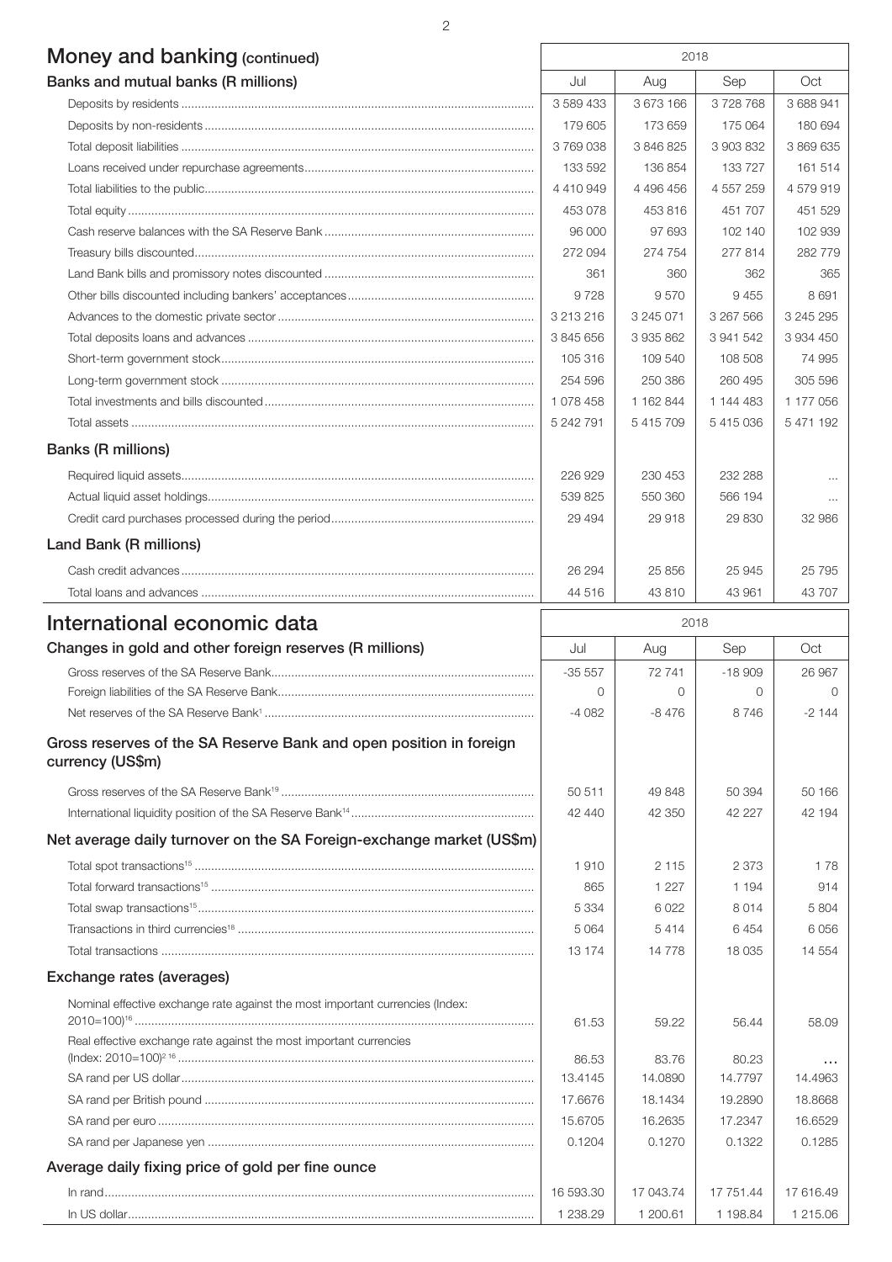## Money and banking (continued) 2018

| Banks and mutual banks (R millions) | Jul       | Aug       | Sep       | Oct       |
|-------------------------------------|-----------|-----------|-----------|-----------|
|                                     | 3 589 433 | 3 673 166 | 3728768   | 3 688 941 |
|                                     | 179 605   | 173 659   | 175 064   | 180 694   |
|                                     | 3769038   | 3 846 825 | 3 903 832 | 3 869 635 |
|                                     | 133 592   | 136854    | 133 727   | 161 514   |
|                                     | 4 410 949 | 4 496 456 | 4 557 259 | 4579919   |
|                                     | 453 078   | 453 816   | 451 707   | 451 529   |
|                                     | 96 000    | 97 693    | 102 140   | 102 939   |
|                                     | 272 094   | 274 754   | 277814    | 282 779   |
|                                     | 361       | 360       | 362       | 365       |
|                                     | 9728      | 9570      | 9455      | 8691      |
|                                     | 3 213 216 | 3 245 071 | 3 267 566 | 3 245 295 |
|                                     | 3 845 656 | 3935862   | 3 941 542 | 3 934 450 |
|                                     | 105 316   | 109 540   | 108 508   | 74 995    |
|                                     | 254 596   | 250 386   | 260 495   | 305 596   |
|                                     | 1 078 458 | 1 162 844 | 1 144 483 | 1 177 056 |
|                                     | 5 242 791 | 5415709   | 5415036   | 5 471 192 |
| <b>Banks (R millions)</b>           |           |           |           |           |
|                                     | 226 929   | 230 453   | 232 288   | $\cdots$  |
|                                     | 539 825   | 550 360   | 566 194   | $\cdots$  |
|                                     | 29 4 94   | 29 918    | 29 830    | 32 986    |
| Land Bank (R millions)              |           |           |           |           |
|                                     | 26 294    | 25 856    | 25 945    | 25 7 95   |
|                                     | 44 516    | 43 810    | 43 961    | 43 707    |

| International economic data                                                            | 2018      |           |           |               |
|----------------------------------------------------------------------------------------|-----------|-----------|-----------|---------------|
| Changes in gold and other foreign reserves (R millions)                                | Jul       | Aug       | Sep       | Oct           |
|                                                                                        | $-35557$  | 72 741    | $-18909$  | 26 967        |
|                                                                                        | $\Omega$  | $\Omega$  | $\Omega$  | $\cap$        |
|                                                                                        | $-4082$   | $-8476$   | 8746      | $-2144$       |
| Gross reserves of the SA Reserve Bank and open position in foreign<br>currency (US\$m) |           |           |           |               |
|                                                                                        | 50 511    | 49 848    | 50 394    | 50 166        |
|                                                                                        | 42 440    | 42 350    | 42 2 2 7  | 42 194        |
| Net average daily turnover on the SA Foreign-exchange market (US\$m)                   |           |           |           |               |
|                                                                                        | 1910      | 2 1 1 5   | 2 3 7 3   | 178           |
|                                                                                        | 865       | 1 2 2 7   | 1 1 9 4   | 914           |
|                                                                                        | 5 3 3 4   | 6022      | 8014      | 5804          |
|                                                                                        | 5 0 6 4   | 5414      | 6454      | 6056          |
|                                                                                        | 13 174    | 14778     | 18 0 35   | 14 5 54       |
| Exchange rates (averages)                                                              |           |           |           |               |
| Nominal effective exchange rate against the most important currencies (Index:          |           |           |           |               |
|                                                                                        | 61.53     | 59.22     | 56.44     | 58.09         |
| Real effective exchange rate against the most important currencies                     |           |           |           |               |
|                                                                                        | 86.53     | 83.76     | 80.23     | $\sim$ $\sim$ |
|                                                                                        | 13.4145   | 14.0890   | 14.7797   | 14.4963       |
|                                                                                        | 17.6676   | 18.1434   | 19,2890   | 18.8668       |
|                                                                                        | 15.6705   | 16.2635   | 17.2347   | 16.6529       |
|                                                                                        | 0.1204    | 0.1270    | 0.1322    | 0.1285        |
| Average daily fixing price of gold per fine ounce                                      |           |           |           |               |
|                                                                                        | 16 593.30 | 17 043.74 | 17 751.44 | 17 616.49     |
|                                                                                        | 1 238.29  | 1 200.61  | 1 198.84  | 1 215.06      |

2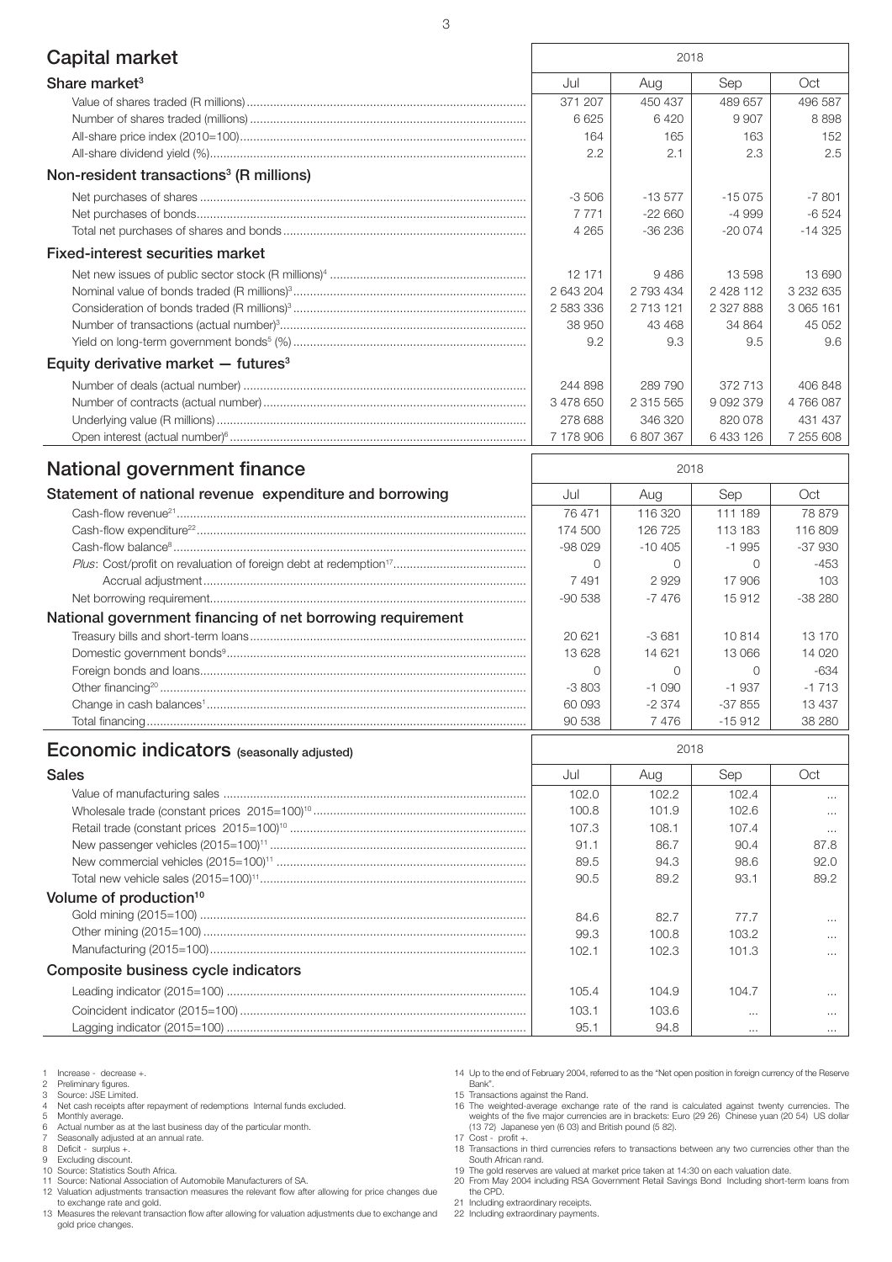| <b>Capital market</b><br>2018                                                |                   |  |  |
|------------------------------------------------------------------------------|-------------------|--|--|
|                                                                              |                   |  |  |
| Share market <sup>3</sup><br>Jul<br>Sep<br>Aug                               | Oct               |  |  |
| 371 207<br>450 437<br>489 657<br>6625<br>6420<br>9 9 0 7                     | 496 587<br>8898   |  |  |
| 164<br>165<br>163                                                            | 152               |  |  |
| 2.2<br>2.1<br>2.3                                                            | 2.5               |  |  |
|                                                                              |                   |  |  |
| Non-resident transactions <sup>3</sup> (R millions)                          |                   |  |  |
| $-13577$<br>$-15075$<br>$-3506$                                              | $-7801$           |  |  |
| 7 7 7 1<br>$-22660$<br>$-4999$                                               | $-6524$           |  |  |
| 4 2 6 5<br>$-36236$<br>$-200074$                                             | $-14325$          |  |  |
| Fixed-interest securities market                                             |                   |  |  |
| 12 171<br>13 598<br>9486                                                     | 13 690            |  |  |
| 2 4 2 8 1 1 2<br>2 643 204<br>2 793 434                                      | 3 232 635         |  |  |
| 2 583 336<br>2 713 121<br>2 327 888                                          | 3 065 161         |  |  |
| 38 950<br>43 468<br>34 864                                                   | 45 052            |  |  |
| 9.3<br>9.2<br>9.5                                                            | 9.6               |  |  |
| Equity derivative market $-$ futures <sup>3</sup>                            |                   |  |  |
| 244 898<br>289 790<br>372 713                                                | 406 848           |  |  |
| 3 478 650<br>2 315 565<br>9 0 9 2 3 7 9                                      | 4766087           |  |  |
| 278 688<br>346 320<br>820 078                                                | 431 437           |  |  |
| 7 178 906<br>6 807 367<br>6 433 126                                          | 7 255 608         |  |  |
| National government finance<br>2018                                          |                   |  |  |
|                                                                              |                   |  |  |
| Statement of national revenue expenditure and borrowing<br>Jul<br>Sep<br>Aug | Oct               |  |  |
| 76 471<br>116 320<br>111 189                                                 | 78 879            |  |  |
| 126 725<br>174 500<br>113 183                                                | 116809            |  |  |
| $-98029$<br>$-10405$<br>$-1995$                                              | $-37930$          |  |  |
| $\circ$<br>$\circ$<br>$\Omega$                                               | $-453$            |  |  |
| 7491<br>2929<br>17 906<br>$-7476$<br>15912<br>$-90538$                       | 103<br>$-38280$   |  |  |
|                                                                              |                   |  |  |
| National government financing of net borrowing requirement                   |                   |  |  |
| 20 621<br>$-3681$<br>10814                                                   | 13 170            |  |  |
| 13 6 28<br>14 621<br>13 066                                                  | 14 0 20           |  |  |
| 0<br>$\Omega$<br>$\Omega$                                                    | $-634$<br>$-1713$ |  |  |
| $-3803$<br>$-1090$<br>$-1937$<br>60 093<br>$-2374$<br>$-37855$               | 13 4 37           |  |  |
| 90 538<br>7476<br>$-15912$                                                   | 38 280            |  |  |

## Economic indicators (seasonally adjusted) and the control of the control of the control of the control of the control of the control of the control of the control of the control of the control of the control of the control

| <b>Sales</b>                        | Jul   | Aug   | Sep      | Oct      |
|-------------------------------------|-------|-------|----------|----------|
|                                     | 102.0 | 102.2 | 102.4    | $\cdots$ |
|                                     | 100.8 | 101.9 | 102.6    | $\cdots$ |
|                                     | 107.3 | 108.1 | 107.4    | $\cdots$ |
|                                     | 91.1  | 86.7  | 90.4     | 87.8     |
|                                     | 89.5  | 94.3  | 98.6     | 92.0     |
|                                     | 90.5  | 89.2  | 93.1     | 89.2     |
| Volume of production <sup>10</sup>  |       |       |          |          |
|                                     | 84.6  | 82.7  | 77.7     | $\cdots$ |
|                                     | 99.3  | 100.8 | 103.2    | $\cdots$ |
|                                     | 102.1 | 102.3 | 101.3    | $\cdots$ |
| Composite business cycle indicators |       |       |          |          |
|                                     | 105.4 | 104.9 | 104.7    | $\cdots$ |
|                                     | 103.1 | 103.6 | $\cdots$ | $\cdots$ |
|                                     | 95.1  | 94.8  | $\cdots$ | $\cdots$ |

# 1 Increase - decrease +.<br>
2 Preliminary figures.<br>
3 Source: JSE Limited.

#### 2 Preliminary figures. 3 Source: JSE Limited.

- 
- 4 Net cash receipts after repayment of redemptions Internal funds excluded. 5 Monthly average. 6 Actual number as at the last business day of the particular month.
- 
- 
- 7 Seasonally adjusted at an annual rate. 8 Deficit surplus +.
- 
- 9 Excluding discount. 10 Source: Statistics South Africa.
- 11 Source: National Association of Automobile Manufacturers of SA.

12 Valuation adjustments transaction measures the relevant flow after allowing for price changes due to exchange rate and gold.

- 13 Measures the relevant transaction flow after allowing for valuation adjustments due to exchange and gold price changes.
- 14 Up to the end of February 2004, referred to as the "Net open position in foreign currency of the Reserve Bank". 15 Transactions against the Rand.

16 The weighted-average exchange rate of the rand is calculated against twenty currencies. The weights of the five major currencies are in brackets: Euro (29 26) Chinese yuan (20 54) US dollar (13 72) Japanese yen (6 03) and British pound (5 82).

- 
- 17 Cost profit +. 18 Transactions in third currencies refers to transactions between any two currencies other than the
- South African rand. 19 The gold reserves are valued at market price taken at 14:30 on each valuation date.
- 20 From May 2004 including RSA Government Retail Savings Bond Including short-term loans from the CPD.
- 21 Including extraordinary receipts.
- 22 Including extraordinary payments.